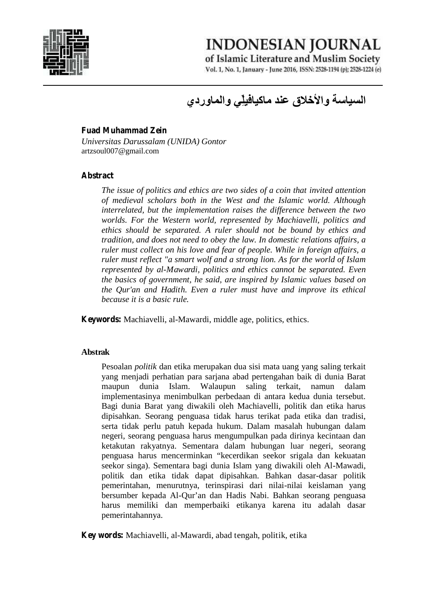

**INDONESIAN JOURNAL** 

of Islamic Literature and Muslim Society Vol. 1, No. 1, January - June 2016, ISSN: 2528-1194 (p); 2528-1224 (e)

# **السیاسة والأخلاق عند ماكیافیلِّي والماوردي**

#### **Fuad Muhammad Zein**

*Universitas Darussalam (UNIDA) Gontor* artzsoul007@gmail.com

#### **Abstract**

*The issue of politics and ethics are two sides of a coin that invited attention of medieval scholars both in the West and the Islamic world. Although interrelated, but the implementation raises the difference between the two worlds. For the Western world, represented by Machiavelli, politics and ethics should be separated. A ruler should not be bound by ethics and tradition, and does not need to obey the law. In domestic relations affairs, a ruler must collect on his love and fear of people. While in foreign affairs, a ruler must reflect "a smart wolf and a strong lion. As for the world of Islam represented by al-Mawardi, politics and ethics cannot be separated. Even the basics of government, he said, are inspired by Islamic values based on the Qur'an and Hadith. Even a ruler must have and improve its ethical because it is a basic rule.*

**Keywords:** Machiavelli, al-Mawardi, middle age, politics, ethics.

#### **Abstrak**

Pesoalan *politik* dan etika merupakan dua sisi mata uang yang saling terkait yang menjadi perhatian para sarjana abad pertengahan baik di dunia Barat maupun dunia Islam. Walaupun saling terkait, namun dalam implementasinya menimbulkan perbedaan di antara kedua dunia tersebut. Bagi dunia Barat yang diwakili oleh Machiavelli, politik dan etika harus dipisahkan. Seorang penguasa tidak harus terikat pada etika dan tradisi, serta tidak perlu patuh kepada hukum. Dalam masalah hubungan dalam negeri, seorang penguasa harus mengumpulkan pada dirinya kecintaan dan ketakutan rakyatnya. Sementara dalam hubungan luar negeri, seorang penguasa harus mencerminkan "kecerdikan seekor srigala dan kekuatan seekor singa). Sementara bagi dunia Islam yang diwakili oleh Al-Mawadi, politik dan etika tidak dapat dipisahkan. Bahkan dasar-dasar politik pemerintahan, menurutnya, terinspirasi dari nilai-nilai keislaman yang bersumber kepada Al-Qur'an dan Hadis Nabi. Bahkan seorang penguasa harus memiliki dan memperbaiki etikanya karena itu adalah dasar pemerintahannya.

**Key words:** Machiavelli, al-Mawardi, abad tengah, politik, etika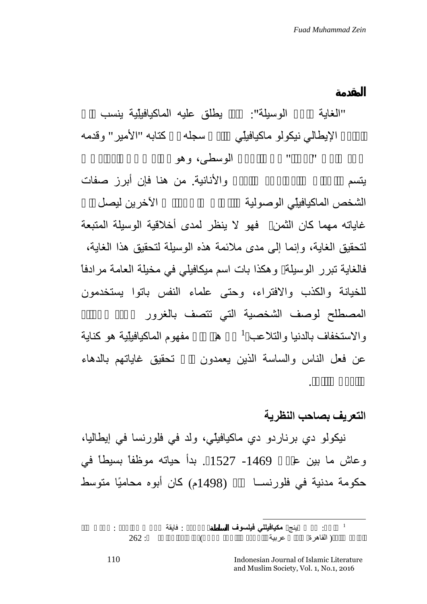"الغایة تبرر الوسیلة": مبدأ یطلق علیھ الماكیافیلِّیة ینسب إلى **المقدمة** لأحد ملوك "أوربا" في القرون الوسطى، وھو أسلوب في المعاملات المفكر الإیطالي نیكولو ماكیافیلِّي والذي سجلھ في كتابھ "الأمیر" وقدمھ

یتسم بالخداع والمراوغة والغدر والأنانیة. من ھنا فإن أبرز صفات الشخص الماكيافيلِّي الوصولية والتسلق على أكترين ليصل غایاتھ مھما كان الثمن فھو لا ینظر لمدى أخلاقیة الوسیلة المتبعة لتحقیق الغایة، وإنما إلى مدى ملائمة ھذه الوسیلة لتحقیق ھذا الغایة، فالغایة تبرر الوسیلة، وھكذا بات اسم میكافیلي في مخیلة العامة مرادفاً للخیانة والكذب والافتراء، وحتى علماء النفس باتوا یستخدمون المصطلح لوصف الشخصية التي تتصف بالغرور والاستخفاف بالدنيا والتلاعب <sup>1</sup> مفهوم الماكيافيلِّية هو كناية عن فعل الناس والساسة الذین یعمدون إلى تحقیق غایاتھم بالدھاء

## **التعریف بصاحب النظریة**

والمكر والقوة.

نیكولو دي برناردو دي ماكیافیلّي، ولد في فلورنسا في إیطالیا، وعاش ما بین عامي -1469 1527 . بدأ حیاتھ موظفاً بسیطاً في حكومة مدنیة في فلورنســا سنة (1498م) كان أبوه محامیًا متوسط

<sup>1</sup> انظر: روس ینج **مكیافیللي فیلسوف السلطة**، ترجمة : فایقة جرجس مراجعة : مجدي عبد  $262:$  ( القاهرة عربية  $\,$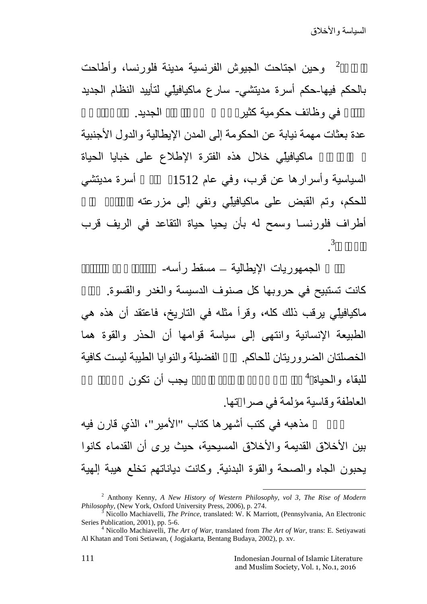2وحین اجتاحت الجیوش الفرنسیة مدینة فلورنسا، وأطاحت بالحكم فیھا-حكم أسرة مدیتشي- سارع ماكیافیلِّي لتأیید النظام الجدید في وظائف حكومية كثير تحت تحت الجدید.

عدة بعثات مھمة نیابة عن الحكومة إلى المدن الإیطالیة والدول الأجنبیة

ماكیافیلِّي خلال هذه الفترة الإطلاع على خبایا الحیاة السیاسیة وأسرارها عن قرب، وفي عام 1512 معاد أسرة مدیتشي للحكم، وتم القبض على ماكيافيلِّي ونفي إلى مزرعته أطراف فلورنسـا وسمح لھ بأن یحیا حیاة التقاعد في الریف قرب 3.

الجمهوریات الإیطالیة – مسقط رأسه-

كانت تستبيح في حروبها كل صنوف الدسيسة والغدر والقسوة. ماكیافیلِّي یرقب ذلك كلھ، وقرأ مثلھ في التاریخ، فاعتقد أن ھذه ھي الطبیعة الإنسانیة وانتھى إلى سیاسة قوامھا أن الحذر والقوة ھما الخصلتان الضروریتان للحاكم. الفضیلة و النوایا الطیبة لیست كافیة 4 للبقاء والحیاة بجب أن نكون

العاطفة وقاسیة مؤلمة في صرا تھا.

مذهبه في كتب أشهر ها كتاب "الأمير"، الذي قارن فيه بین الأخلاق القدیمة والأخلاق المسیحیة، حیث یرى أن القدماء كانوا یحبون الجاه والصحة والقوة البدنیة. وكانت دیاناتھم تخلع ھیبة إلھیة

<sup>&</sup>lt;sup>2</sup> Anthony Kenny, *A New History of Western Philosophy, vol 3, The Rise of Modern Philosophy, (New York, Oxford University Press, 2006), p. 274.* 

*Phicollo Machiavelli, The Prince, translated: W. K Marriott, (Pennsylvania, An Electronic* Series Publication, 2001), pp. 5-6. <sup>4</sup> Nicollo Machiavelli, *The Art of War*, translated from *The Art of War*, trans: E. Setiyawati

Al Khatan and Toni Setiawan, ( Jogjakarta, Bentang Budaya, 2002), p. xv.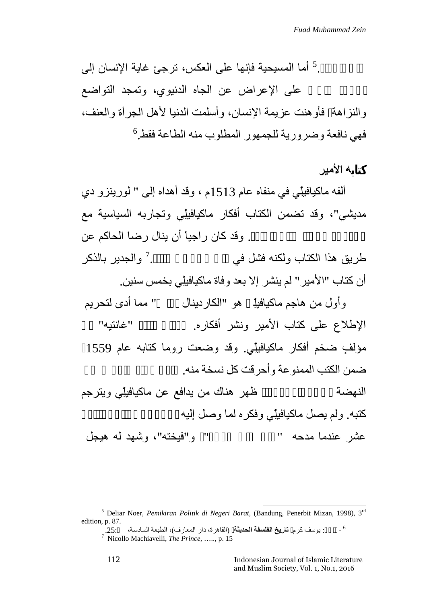على الحكام. 5 أما المسیحیة فإنھا على العكس، ترجئ غایة الإنسان إلى على الإعراض عن الجاه الدنيوي، وتمجد التواضع والنزاھة، فأوھنت عزیمة الإنسان، وأسلمت الدنیا لأھل الجرأة والعنف،  $^6$ فهي نافعة وضرورية للجمهور المطلوب منه الطاعة فقط.

**كتابھ الأمیر**

ألفھ ماكیافیلِّي في منفاه عام 1513م ، وقد أھداه إلى " لورینزو دي مدیشي"، وقد تضمن الكتاب أفكار ماكیافیلِّي وتجاربھ السیاسیة مع . وقد كان راجياً أن ينال رضا الحاكم عن 7والجدیر بالذكر طریق هذا الكتاب ولكنه فشل في أن كتاب "الأمیر" لم ینشر إلا بعد وفاة ماكیافیلِّي بخمس سنین.

وأول من ھاجم ماكیافیلِّ ھو "الكاردینال بولس" مما أدى لتحریم الإطلاع على كتاب الأمير ونشر أفكاره. "غانتيه" مؤلفٍ ضخم أفكار ماكيافيلِّي. وقد وضعت روما كتابه عام 1559<br>ضمن الكتب الممنوعة وأحرقت كل نسخة منه. النهضـة في أرجاء أوروبا في أرجع أوروبا في أرجع من الله أوروبا في أرجع من ماكيافيلِّي ويترجم كتبه. ولم یصل ماكیافیلِّي وفكره لما وصل إلیه

عشر عندما مدحه " جان جان جان جات است میں جان میں جان جات و اللہ میں اللہ میں جان اس میں جان کا میں ج

<sup>&</sup>lt;sup>5</sup> Deliar Noer, *Pemikiran Politik di Negeri Barat*, (Bandung, Penerbit Mizan, 1998), 3<sup>rd</sup> edition, p. 87.<br><sup>6</sup> - : يوسف كرم **تاريخ الفلسفة الحديثة** (القاهرة، دار المعارف)، الطبعة السادسة، 25:

<sup>7</sup> Nicollo Machiavelli, *The Prince*, ….., p. 15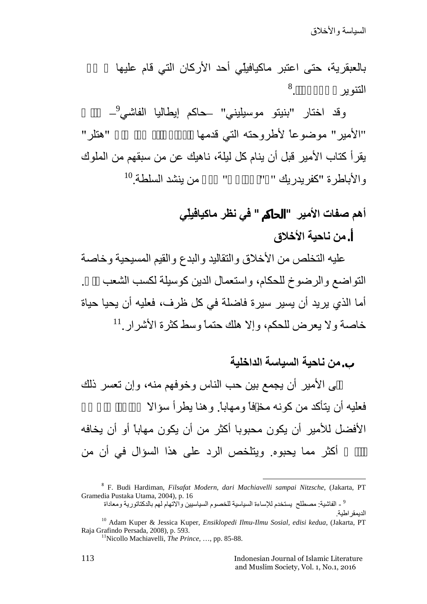السیاسة والأخلاق

بالعبقریة، حتى اعتبر ماكیافیلِّي أحد الأركان التي قام علیھا عصر 8التنو بر

9 وقد اختار "بنیتو موسیلیني" –حاكم إیطالیا الفاشي – كتاب "الأمیر " موضوعاً لأطروحته التي قدمها لللدكت الله "هتلر " یقرأ كتاب الأمیر قبل أن ینام كل لیلة، ناھیك عن من سبقھم من الملوك  $^{10}$  من بنشد السلطة. $^{10}$ والأباطرة "كفريدريك " "

# **أھم صفات الأمیر "الحاكم" في نظر ماكیافیلِّي**

## **. من ناحیة الأخلاق**

علیھ التخلص من الأخلاق والتقالید والبدع والقیم المسیحیة وخاصة التواضع والرضوخ للحكام، واستعمال الدین كوسیلة لكسب الشعب أما الذي یرید أن یسیر سیرة فاضلة في كل ظرف، فعلیھ أن یحیا حیاة 11 خاصة ولا یعرض للحكم، وإلا ھلك حتماً وسط كثرة الأشرار.

### **.من ناحیة السیاسة الداخلیة**

على الأمیر أن یجمع بین حب الناس وخوفھم منھ، وإن تعسر ذلك فعلیه أن یتأكد من كونه مخـفأ ومهاباً. وهنا يطرأ سؤالا الأفضل للأمیر أن یكون محبوبا أكثر من أن یكون مھاباً أو أن یخافھ الناس أكثر مما یحبوه. ویتلخص الرد على ھذا السؤال في أن من

<sup>8</sup> F. Budi Hardiman, *Filsafat Modern, dari Machiavelli sampai Nitzsche*, (Jakarta, PT Gramedia Pustaka Utama, 2004), p. 16

<sup>9</sup> - الفاشیة: مصطلح یستخدم للإساءة السیاسیة للخصوم السیاسیین والاتھام لھم بالدكتاتوریة ومعاداة

<sup>.</sup>الدیمقراطیة <sup>10</sup> Adam Kuper & Jessica Kuper, *Ensiklopedi Ilmu-Ilmu Sosial, edisi kedua*, (Jakarta, PT

<sup>&</sup>lt;sup>11</sup>Nicollo Machiavelli, *The Prince*, ..., pp. 85-88.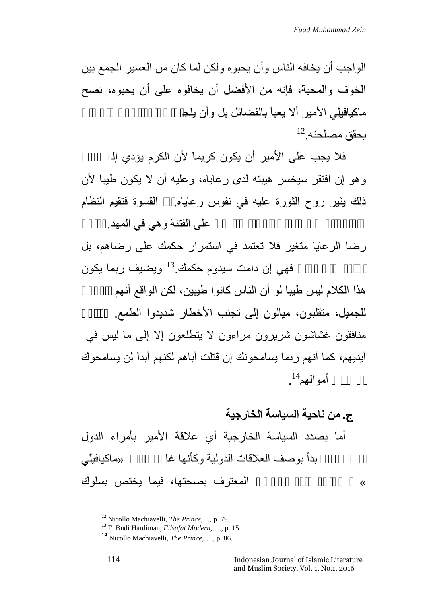الواجب أن یخافھ الناس وأن یحبوه ولكن لما كان من العسیر الجمع بین الخوف والمحبة، فإنھ من الأفضل أن یخافوه على أن یحبوه، نصح ماكیافیلِّي الأمیر ألا یعبأ بالفضائل بل وأن یلج  $^{12}$ یحقق مصلحته.

فلا یجب علی الأمیر أن یكون كریماً لأن الكرم یؤدي إل وھو إن افتقر سیخسر ھیبتھ لدى رعایاه، وعلیھ أن لا یكون طیبا لأن ذلك یثیر روح الثورة علیه في نفوس رعایاه. القسوة فتقیم النظام على الفتنة و هي في المهد.

رضا الرعایا متغیر فلا تعتمد في استمرار حكمك على رضاھم، بل فهي إن دامت سيدوم حكمك.<sup>13</sup> ويضيف ربما يكون

ھذا الكلام لیس طیبا لو أن الناس كانوا طیبین، لكن الواقع أنھم ناكرون للجمیل، متقلبون، میالون إلى تجنب الأخطار شدیدوا الطمع. منافقون غشاشون شریرون مراءون لا یتطلعون إلا إلى ما لیس في أیدیھم، كما أنھم ربما یسامحونك إن قتلت أباھم لكنھم أبداً لن یسامحوك أموالهم $^{14}.$ 

**. من ناحیة السیاسة الخارجیة** أما بصدد السیاسة الخارجیة أي علاقة الأمیر بأمراء الدول بدأ بو صف العلاقات الدولیة و كأنها غا «ماكیافیلِّي » بصراحة تامة الأخلاق المعترف بصحتھا، فیما یختص بسلوك

<sup>12</sup> Nicollo Machiavelli, *The Prince*,…, p. 79. <sup>13</sup> F. Budi Hardiman, *Filsafat Modern*,…., p. 15.

<sup>14</sup> Nicollo Machiavelli, *The Prince*,…., p. 86.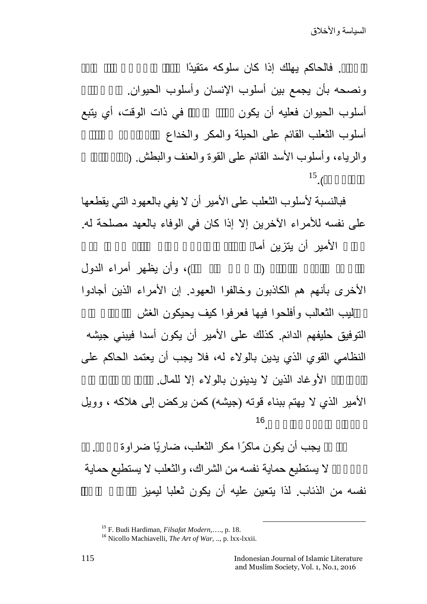. فالحاكم یهلك إذا كان سلوكه متقیدًا ونصحه بأن يجمع بين أسلوب الإنسان وأسلوب الحيوان. أسلوب الحیوان فعلیه أن یكون في ذات الوقت، أي یتبع أسلوب الثعلب القائم على الحيلة والمكر والخداع والرياء، وأسلوب الأسد القائم على القوة والعنف والبطش. (  $^{15}$ .

فبالنسبة لأسلوب الثعلب على الأمیر أن لا یفي بالعھود التي یقطعھا على نفسھ للأمراء الآخرین إلا إذا كان في الوفاء بالعھد مصلحة لھ. الأمیر أن یتزین أما

)، وأن يظهر أمراء الدول الأخرى بأنھم ھم الكاذبون وخالفوا العھود. إن الأمراء الذین أجادوا

ليب الثعالب وأفلحوا فيها فعرفوا كيف يحيكون الغش<br>التوفيق حليفهم الدائم. كذلك على الأمير أن يكون أسدا فيبني جيشه النظامي القوي الذي یدین بالولاء لھ، فلا یجب أن یعتمد الحاكم على الأوغاد الذین لا یدینون بالولاء إلا للمال.

الأمیر الذي لا یھتم ببناء قوتھ (جیشھ) كمن یركض إلى ھلاكھ ، وویل 16للأمراء من السلاح.<br>الأمراء من السلاح.

الأوغاد الذين لا يدينون بالولاء إلا للمال<sub>.</sub><br>الأمير الذي لا يهتم ببناء قوته (جيشه) كمن يركض إلى هلاكه ، وويل<br>يجب أن يكون ماكرًا مكر الثعلب، ضاريًا ضراوة ال<br>لا يستطيع حماية نفسه من الشراك، والثعلب لا يستطيع حماية نفسه من الذئاب. لذا یتعین علیه أن یكون ثعلبا لیمیز

<sup>15</sup> F. Budi Hardiman, *Filsafat Modern*,…., p. 18. <sup>16</sup> Nicollo Machiavelli, *The Art of War*, .., p. lxx-lxxii.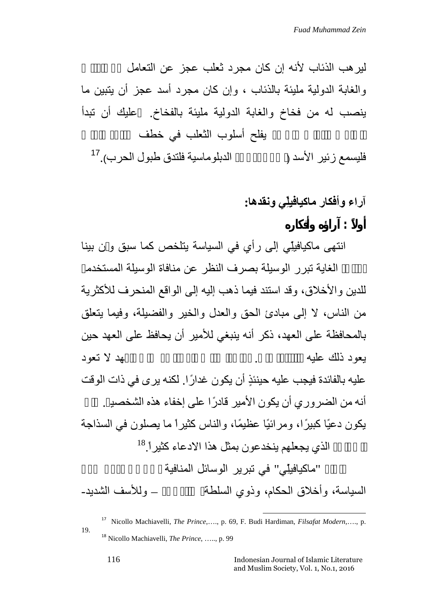لير هب الذئاب لأنه إن كان مجر د ثعلب عجز عن التعامل والغابة الدولیة ملیئة بالذئاب ، وإن كان مجرد أسد عجز أن یتبین ما ینصب لھ من فخاخ والغابة الدولیة ملیئة بالفخاخ. علیك أن تبدأ بفلح أسلوب الثعلب في خطف 17 فلیسمع زئیر الأسد (أي إن لم تجد الدبلوماسیة فلتدق طبول الحرب).

## **أولاً : آرا ه وأفكاره آراء وأفكار ماكیافیلِّي ونقدھا:**

انتھى ماكیافیلِّي إلى رأي في السیاسة یتلخص كما سبق و ن بینا

الغایة تبرر الوسیلة بصرف النظر عن منافاة الوسیلة المستخدم للدین والأخلاق، وقد استند فیما ذھب إلیھ إلى الواقع المنحرف للأكثریة من الناس، لا إلى مبادئ الحق والعدل والخیر والفضیلة، وفیما یتعلق بالمحافظة على العھد، ذكر أنھ ینبغي للأمیر أن یحافظ على العھد حین یعود ذلك علیھ بالفائدة فقط. أما إذا كانت المحافظة على العھد لا تعود من الناس، لا إلى مبادئ الحق والعدل والخير والفضيلة، وفيما يتعلق<br>بالمحافظة على العهد، ذكر أنه ينبغي للأمير أن يحافظ على العهد حين<br>يعود ذلك عليه<br>عليه بالفائدة فيجب عليه حينئذٍ أن يكون غدارًا. لكنه يرى في ذات الوقت<br>أنه من ال بالمحافظة على العهد، ذكر أنه ينبغي للأمير أن يحافظ على العهد حيز<br>يعود ذلك عليه<br>عليه بالفائدة فيجب عليه حينئذٍ أن يكون غدارًا. لكنه يرى في ذات الوقت<br>أنه من الضروري أن يكون الأمير قادرًا على إخفاء هذه الشخصي<sub>ة.</sub><br>يكون دعيًا عليه بالفائدة فيجب عليه حينئذٍ أن يكون غدارًا. لكنه يرى في ذات الوقت<br>أنه من الضروري أن يكون الأمير قادرًا على إخفاء هذه الشخصيـ<br>يكون دعيًا كبيرًا، ومرائيًا عظيمًا، والناس كثيراً ما يصلون في السذاجة الذي يجعلهم ينخدعون بمثل هذا الادعاء كثير<sup>18</sup>.<sup>18</sup> "ماكیافیلِّي" في تبریر الوسائل المنافیة السیاسة، و أخلاق الحكام، و ذو ي السلطة به سمت أخذ و الشدید –

<sup>17</sup> Nicollo Machiavelli, *The Prince*,…., p. 69, F. Budi Hardiman, *Filsafat Modern*,…., p. 19. <sup>18</sup> Nicollo Machiavelli, *The Prince*, ….., p. 99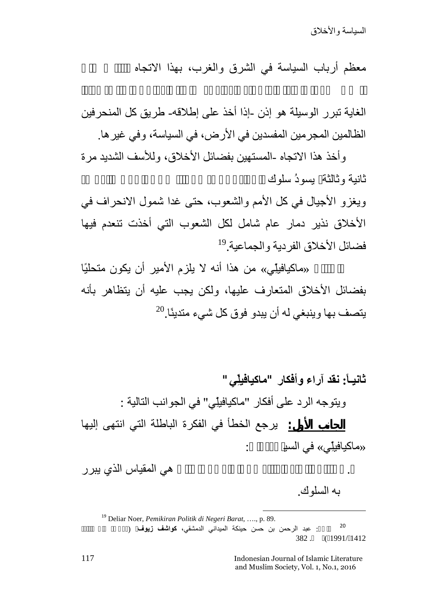معظم أرباب السياسة في الشرق والغرب، بهذا الاتجاه

الغایة تبرر الوسیلة ھو إذن -إذا أخذ على إطلاقھ- طریق كل المنحرفین الظالمین المجرمین المفسدین في الأرض، في السیاسة، وفي غیرھا.

وأخذ ھذا الاتجاه -المستھین بفضائل الأخلاق، وللأسف الشدید مرة ثانیة و ثالثة یسودُ سلوك

ویغزو الأجیال في كل الأمم والشعوب، حتى غدا شمول الانحراف في الأخلاق نذیر دمار عام شامل لكل الشعوب التي أخذت تنعدم فیھا 19 فضائل الأخلاق الفردیة والجماعیة.

واستنتج «ماكیافیلِّي» من ھذا أنھ لا یلزم الأمیر أن یكون متحلیًا بفضائل الأخلاق المتعارف علیھا، ولكن یجب علیھ أن یتظاھر بأنھ 20 یتصف بھا وینبغي لھ أن یبدو فوق كل شيء متدینًا.

**ثانیـا:ً نقد آراء وأفكار "ماكیافیلِّي"** ویتوجھ الرد على أفكار "ماكیافیلِّي" في الجوانب التالیة : «ماكیافیلِّي» في السیاسة، إلى: **الجانب الأول:** یرجع الخطأ في الفكرة الباطلة التي انتھى إلیھا

بھ السلوك.

<sup>19</sup> Deliar Noer, *Pemikiran Politik di Negeri Barat*, …., p. 89.<br>20 . . عبد الرحمن بن حسن حينكة الميداني الدمشقي**، كواشف زيوف** ( 1412 (1991/1412

117 Indonesian Journal of Islamic Literature and Muslim Society, Vol. 1, No.1, 2016

هي المقياس الذي يبر ر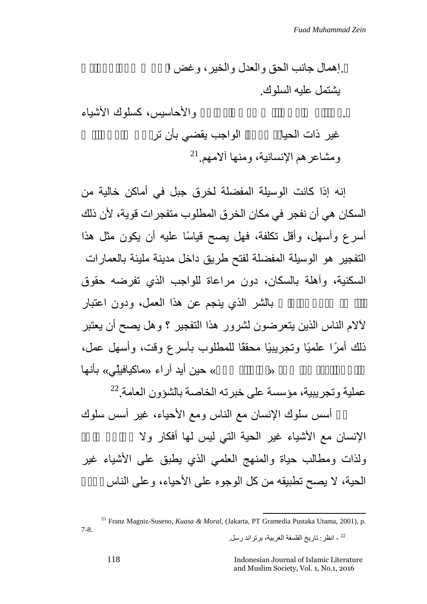.إھمال جانب الحق والعدل والخیر، وغض الطرف عن الشر الذي یشتمل علیھ السلوك. . اعتبار سلوك الناس ذوي المشاعر والأحاسیس، كسلوك الأشیاء غیر ذات الحیا ، مع أنّ الواجب یقضي بأن تراعى حقوق الناس 21ومشاعرھم الإنسانیة، ومنھا آلامھم.

إنھ إذا كانت الوسیلة المفضلة لخرق جبل في أماكن خالیة من السكان ھي أن نفجر في مكان الخرق المطلوب متفجرات قویة، لأن ذلك أسرع وأسھل، وأقل تكلفة، فھل یصح قیاسًا علیھ أن یكون مثل ھذا التفجیر ھو الوسیلة المفضلة لفتح طریق داخل مدینة ملیئة بالعمارات السكنیة، وآھلة بالسكان، دون مراعاة للواجب الذي تفرضھ حقوق بالشر الذي ينجم عن هذا العمل، ودون اعتبار لآلام الناس الذین یتعرضون لشرور ھذا التفجیر ؟ وھل یصح أن یعتبر السكنية، وأهلة بالسكان، دون مراعاة للواجب الذي تفرضـه حقوق<br>بالشر الذي بنجم عن هذا العمل، ودون اعتبار<br>لألام الناس الذين يتعرضون لشرور هذا التفجير ؟ وهل يصح أن يعتبر<br>ذلك أمرًا علميًا وتجريبيًا محققًا للمطلوب بأسرع وقت، وأسه وأقل تكلفة؟، كما زعم «برتراند رسل» حین أید آراء «ماكیافیلِّي» بأنھا

عملية وتجريبية، مؤسسة على خبرته الخاصة بالشؤون العامة. $^{22}$ إن أسس سلوك الإنسان مع الناس ومع الأحیاء، غیر أسس سلوك الإنسان مع الأشياء غیر الحیة التي لیس لها أفكار ولا ولذات ومطالب حیاة والمنھج العلمي الذي یطبق على الأشیاء غیر الحیة، لا یصح تطبیقھ من كل الوجوه على الأحیاء، وعلى الناس بشكل

<sup>21</sup> Franz Magniz-Suseno, *Kuasa & Moral*, (Jakarta, PT Gramedia Pustaka Utama, 2001), p. 7-8. <sup>22</sup> - انظر: تاریخ الفلسفة الغربیة، برتراند رسل.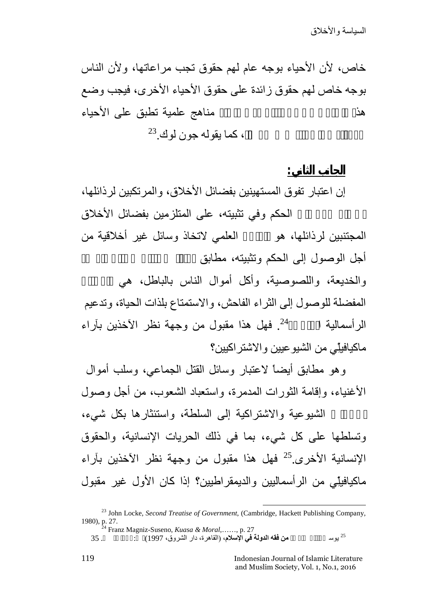**الجانب الثاني:**

خاص، لأن الأحیاء بوجھ عام لھم حقوق تجب مراعاتھا، ولأن الناس بوجھ خاص لھم حقوق زائدة على حقوق الأحیاء الأخرى، فیجب وضع هذ الأحياء الحقوق في الأحياء مناهج علمية تطبق على الأحياء ، كما يقوله جون لوك.<sup>23</sup>

إن اعتبار تفوق المستھینین بفضائل الأخلاق، والمرتكبین لرذائلھا، الحكم وفي تثبیته، على المتلزمین بفضائل الأخلاق

المجتنبین لرذائلھا، ھو المبرر العلمي لاتخاذ وسائل غیر أخلاقیة من أجل الوصول إلى الحكم وتثبيته، مطابق

والخدیعة، واللصوصیة، وأكل أموال الناس بالباطل، ھي الوسائل المفضلة للوصول إلى الثراء الفاحش، والاستمتاع بلذات الحیاة، وتدعیم فھل ھذا مقبول من وجھة نظر الآخذین بآراء <sup>24</sup> الرأسمالیة المفرطة . ماكیافیلِّي من الشیوعیین والاشتراكیین؟

وھو مطابق أیضاً لاعتبار وسائل القتل الجماعي، وسلب أموال الأغنیاء، وإقامة الثورات المدمرة، واستعباد الشعوب، من أجل وصول

الأحزاب الشیوعیة والاشتراكیة إلى السلطة، واستئثارھا بكل شيء، وتسلطھا على كل شيء، بما في ذلك الحریات الإنسانیة، والحقوق الإنسانية الأخرى.<sup>25</sup> فهل هذا مقبول من وجهة نظر الآخذین بآراء ماكیافیلِّي من الرأسمالیین والدیمقراطیین؟ إذا كان الأول غیر مقبول

<sup>23</sup> John Locke, *Second Treatise of Government*, (Cambridge, Hackett Publishing Company, 1980), p. 27. <sup>24</sup> Franz Magniz-Suseno, *Kuasa & Moral*,……, p. 27

یوسف القارضاوي، **من فقھ الدولة في الإسلام،** (القاھرة، دار الشروق، 1997)، ط: الأولى، ص. 35 <sup>25</sup>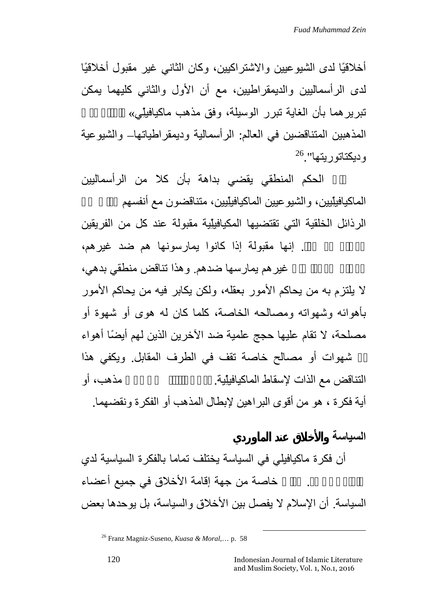أخلاقیًا لدى الشیوعیین والاشتراكیین، وكان الثاني غیر مقبول أخلاقیًا لدى الرأسمالیین والدیمقراطیین، مع أن الأول والثاني كلیھما یمكن تبریرھما بأن الغایة تبرر الوسیلة، وفق مذھب ماكیافیلِّي» المتبع لدى المذھبین المتناقضین في العالم: الرأسمالیة ودیمقراطیاتھا– والشیوعیة 26 ودیكتاتوریتھا".

فإن الحكم المنطقي یقضي بداھة بأن كلا من الرأسمالیین الماكیافیلِّیین، والشیوعیین الماكیافیلِّیین، متناقضون مع أنفسهم الرذائل الخلقیة التي تقتضیھا المكیافیلِّیة مقبولة عند كل من الفریقین . إنها مقبولة إذا كانوا یمارسونها هم ضد غیرهم،

غیر هم یمارسها ضدهم. و هذا تناقض منطقي بدهي، لا یلتزم بھ من یحاكم الأمور بعقلھ، ولكن یكابر فیھ من یحاكم الأمور بأھوائھ وشھواتھ ومصالحھ الخاصة، كلما كان لھ ھوى أو شھوة أو مصلحة، لا تقام علیھا حجج علمیة ضد الآخرین الذین لھم أیضًا أھواء

أو شھوات أو مصالح خاصة تقف في الطرف المقابل. ویكفي ھذا التناقض مع الذات لإسقاط الماكیافیلِّیة. إذ إن التناقض في أي مذھب، أو أية فكرة ، هو من أقوى البراهين لإبطال المذهب أو الفكرة ونقضهما.<br>ا**لسداسة** 

أن فكرة ماكیافیلي في السیاسة یختلف تماما بالفكرة السیاسیة لدي خاصة من جهة إقامة الأخلاق في جميع أعضاء السیاسة. أن الإسلام لا یفصل بین الأخلاق والسیاسة، بل یوحدھا بعض

<sup>26</sup> Franz Magniz-Suseno, *Kuasa & Moral*,… p. 58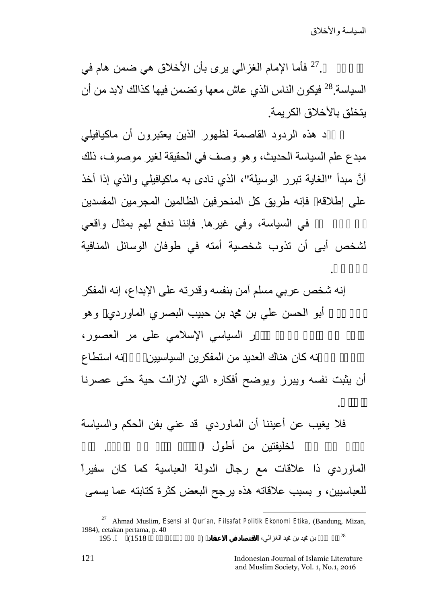لأخلاق.

الحالي.

على بعض. فأما الإمام الغزالي پري بأن الأخلاق هي ضمن هام في  $^{27}$ السياسة.<sup>28</sup> فيكون الناس الذي عاش معها وتضمن فيها كذالك لابد من أن یتخلق بالأخلاق الكریمة.

مبدع علم السیاسة الحدیث، وھو وصف في الحقیقة لغیر موصوف، ذلك و بعد ھذه الردود القاصمة لظھور الذین یعتبرون أن ماكیافیلي أنَّ مبدأ "الغایة تبرر الوسیلة"، الذي نادى بھ ماكیافیلي والذي إذا أخذ على إطلاقھ فإنھ طریق كل المنحرفین الظالمین المجرمین المفسدین

في السياسة، وفي غيرها. فإننا ندفع لهم بمثال واقعي لشخص أبى أن تذوب شخصیة أمتھ في طوفان الوسائل المنافیة

إنھ شخص عربي مسلم آمن بنفسھ وقدرتھ على الإبداع، إنھ المفكر أبو الحسن علي بن محد بن حبيب البصري الماوردي وھو ر السیاسی الإسلامی علی مر العصور، نه كان هناك العدید من المفكرین السیاسیین نه استطاع أن یثبت نفسھ ویبرز ویوضح أفكاره التي لازالت حیة حتى عصرنا

فلا یغیب عن أعیننا أن الماوردي قد عني بفن الحكم والسیاسة لخلیفتین من أطول ا

الماوردي ذا علاقات مع رجال الدولة العباسیة كما كان سفیراً للعباسیین، و بسبب علاقاتھ ھذه یرجح البعض كثرة كتابتھ عما یسمى

<sup>27</sup> Ahmad Muslim, *Esensi al Qur'an, Filsafat Politik Ekonomi Etika*, (Bandung, Mizan, 1984), cetakan pertama, p. 40 أبو حامد بن محمد بن محمد الغزالي، **الاقتصاد في الاعتقاد**، (مصر، مكتبة الجندي، 1518)، ص. 195 <sup>28</sup>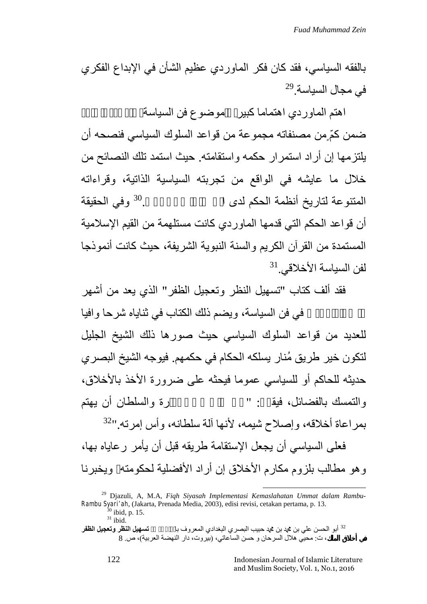بالفقھ السیاسي، فقد كان فكر الماوردي عظیم الشأن في الإبداع الفكري  $^{29}$ في مجال السياسة.

اهتم الماوردي اهتماما كبير مموضوع فن السياسة ضمن كمّ ٍمن مصنفاتھ مجموعة من قواعد السلوك السیاسي فنصحھ أن یلتزمھا إن أراد استمرار حكمھ واستقامتھ. حیث استمد تلك النصائح من خلال ما عایشھ في الواقع من تجربتھ السیاسیة الذاتیة، وقراءاتھ المتنوعة لتاريخ أنظمة الحكم لدى ا $^{30}$  الحقيقة  $^{30}$ أن قواعد الحكم التي قدمھا الماوردي كانت مستلھمة من القیم الإسلامیة المستمدة من القرآن الكریم والسنة النبویة الشریفة، حیث كانت أنموذجا  $^{31}$ لفن السياسة الأخلاقي. $^{\rm 1}$ 

فقد ألف كتاب "تسھیل النظر وتعجیل الظفر" الذي یعد من أشھر

في فن السياسة، ويضم ذلك الكتاب في ثناياه شرحا وافيا للعدید من قواعد السلوك السیاسي حیث صورھا ذلك الشیخ الجلیل لتكون خیر طریق مُنار یسلكھ الحكام في حكمھم. فیوجھ الشیخ البصري حدیثھ للحاكم أو للسیاسي عموما فیحثھ على ضرورة الأخذ بالأخلاق، والتمسك بالفضائل، فیقـــ: "حق على ذي والسلطان أن یهتم

32 بمراعاة أخلاقھ، وإصلاح شیمھ، لأنھا آلة سلطانھ، وأس إمرتھ."

فعلى السیاسي أن یجعل الإستقامة طریقھ قبل أن یأمر رعایاه بھا، وھو مطالب بلزوم مكارم الأخلاق إن أراد الأفضلیة لحكومتھ ویخبرنا

<sup>29</sup> Djazuli, A, M.A, *Fiqh Siyasah Implementasi Kemaslahatan Ummat dalam Rambu- Rambu Syari'ah*, (Jakarta, Prenada Media, 2003), edisi revisi, cetakan pertama, p. 13.<br><sup>30</sup> ibid, p. 15.<br><sup>32</sup> أبو الحسن علي بن محمد بن محمد بن محمد بن علي البصري البغدادي المعروف با المعل**يل النظر وتعجيل الظفر** .

**في أخلاق الملك**، ت: محیي ھلال السرحان و حسن الساعاتي، (بیروت، دار النھضة العربیة)، ص. 8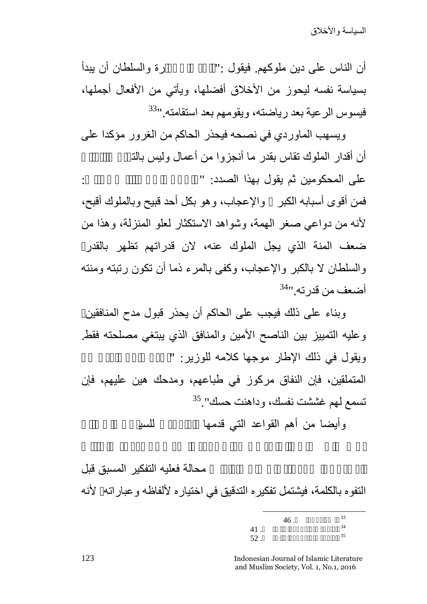أن الناس على دین ملوكھم. فیقول :"فلزم ذا الإم رة والسلطان أن یبدأ فيسوس الرعية بعد رياضته، ويقومهم بعد استقامته.''<sup>33</sup> بسياسة نفسه ليحوز من الأخلاق أفضلها، ويأتي من الأفعال أجملها،

ویسھب الماوردي في نصحھ فیحذر الحاكم من الغرور مؤكدا على أن أقدار الملوك تقاس بقدر ما أنجزوا من أعمال ولبس بالذ على المحكومین ثم یقول بهذا الصدد: " فمن أقوى أسبابھ الكبر والإعجاب، وھو بكل أحد قبیح وبالملوك أقبح، لأنھ من دواعي صغر الھمة، وشواھد الاستكثار لعلو المنزلة، وھذا من ضعف المنة الذي یجل الملوك عنھ، لان قدراتھم تظھر بالقدرة والسلطان لا بالكبر والإعجاب، وكفى بالمرء ذما أن تكون رتبتھ ومنتھ أضعف من قدرته.''<sup>34</sup>

وبناء على ذلك فیجب على الحاكم أن یحذر قبول مدح المنافقین، وعلیھ التمییز بین الناصح الأمین والمنافق الذي یبتغي مصلحتھ فقط. ویقول فی ذلك الإطار موجها كلامه للوزیر: " المتملقین، فإن النفاق مركوز في طباعھم، ومدحك ھین علیھم، فإن 35 تسمع لھم غششت نفسك، وداھنت حسك".

وأیضا من أهم القواعد التي قدمها للسيا

محالة فعليه التفكير المسبق قبل التفوه بالكلمة، فیشتمل تفكیره التدقیق في اختیاره لألفاظھ وعباراتھ، لأنھ

| 46.    | 33 |
|--------|----|
| 41.    | 34 |
| $52$ . | 35 |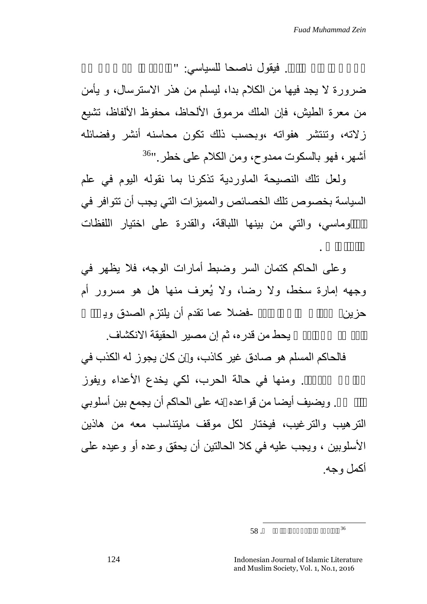والعبارات .

. فیقول ناصحا للسیاسی: "

ضرورة لا یجد فیھا من الكلام بدا، لیسلم من ھذر الاسترسال، و یأمن من معرة الطیش، فإن الملك مرموق الألحاظ، محفوظ الألفاظ، تشیع زلاتھ، وتنتشر ھفواتھ ،وبحسب ذلك تكون محاسنھ أنشر وفضائلھ 36 أشھر، فھو بالسكوت ممدوح، ومن الكلام على خطر."

ولعل تلك النصیحة الماوردیة تذكرنا بما نقولھ الیوم في علم السیاسة بخصوص تلك الخصائص والممیزات التي یجب أن تتوافر في الدبلوماسي، والتي من بینھا اللباقة، والقدرة على اختیار اللفظات

وعلى الحاكم كتمان السر وضبط أمارات الوجھ، فلا یظھر في وجهه إمارة سخط، ولا رضا، ولا يُعرف منها هل هو مسرور أم<br>حزين

يحط من قدره، ثم إن مصير الحقيقة الانكشاف.

فالحاكم المسلم ھو صادق غیر كاذب، و ن كان یجوز لھ الكذب في . ومنها في حالة الحرب، لكي یخدع الأعداء ویفوز بالنصر. ویضیف أیضا من قواعده نھ على الحاكم أن یجمع بین أسلوبي الترھیب والترغیب، فیختار لكل موقف مایتناسب معھ من ھاذین الأسلوبین ، ویجب علیھ في كلا الحالتین أن یحقق وعده أو وعیده على أكمل وجھ.

 $58.$   $36$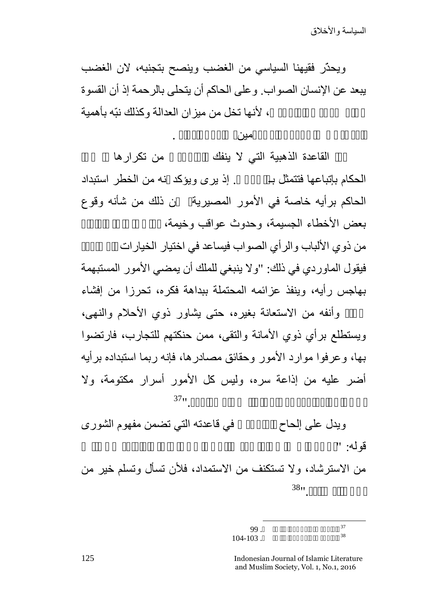ویحذّر فقیھنا السیاسي من الغضب وینصح بتجنبھ، لان الغضب یبعد عن الإنسان الصواب. وعلى الحاكم أن یتحلى بالرحمة إذ أن القسوة ، لأنها تخل من ميزان العدالة وكذلك نبّه بأهمية

العدل، في شأن أمور المحكومین، وأمور الدولة .

القاعدة الذهبیة التي لا ینفك المادر من تكرارها الحكام بإتباعھا فتتمثل بـالشورى. إذ یرى ویؤكد نھ من الخطر استبداد الحاكم برأیھ خاصة في الأمور المصیریة ن ذلك من شأنھ وقوع بعض الأخطاء الجسيمة، وحدوث عواقب وخيمة،<br>من ذو ى الألباب والر أي الصواب فيساعد في اختيار الخيار ات

فیقول الماوردي في ذلك: "ولا ینبغي للملك أن یمضي الأمور المستبھمة بھاجس رأیھ، وینفذ عزائمھ المحتملة ببداھة فكره، تحرزا من إفشاء

سره، وأنفھ من الاستعانة بغیره، حتى یشاور ذوي الأحلام والنھى، ویستطلع برأي ذوي الأمانة والتقى، ممن حنكتھم للتجارب، فارتضوا بھا، وعرفوا موارد الأمور وحقائق مصادرھا، فإنھ ربما استبداده برأیھ  $37<sub>11</sub>$ أضر عليه من إذاعة سره، وليس كل الأمور أسرار مكتومة، ولا

ويدل على إلحاح المعن في فاعدته التي تضمن مفهوم الشورى قولھ: "ارجع إلى رأي العقلاء، وافزع إلى استشارة العلماء، ولا تأنف

38من الاسترشاد، ولا تستكنف من الاستمداد، فلأن تسأل وتسلم خیر من

الماوردي، المرجع السابق، ص. -103 104 <sup>38</sup> الماوردي، المرجع السابق، ص. <sup>99</sup> <sup>37</sup>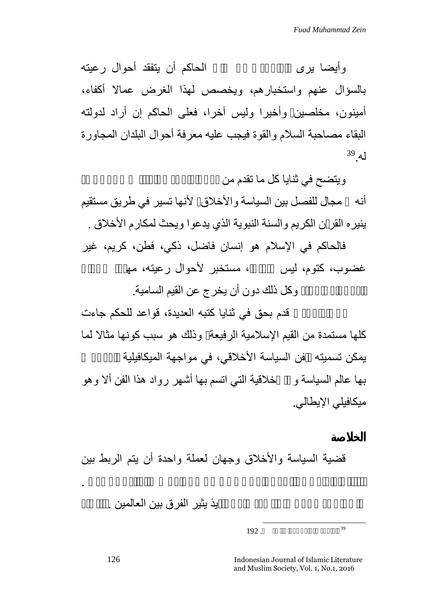وأیضا یرى الماوردي أن على الحاكم أن یتفقد أحوال رعیتھ بالسؤال عنھم واستخبارھم، ویخصص لھذا الغرض عمالا أكفاء، أمینون، مخلصین وأخیرا ولیس آخرا، فعلى الحاكم إن أراد لدولتھ البقاء مصاحبة السلام والقوة فیجب علیھ معرفة أحوال البلدان المجاورة 39 لھ.

ويتضح في ثنايا كل ما تقدم من

أنھ مجال للفصل بین السیاسة والأخلاق، لأنھا تسیر في طریق مستقیم ینیره القر ن الكریم والسنة النبویة الذي یدعوا ویحث لمكارم الأخلاق .

فالحاكم في الإسلام ھو إنسان فاضل، ذكي، فطن، كریم، غیر غضوب، كتوم، ليس مستخبر لأحوال رعيته، مھ

وكل ذلك دون أن يخرج عن القيم السامية.

قدم بحق في ثنايا كتبه العديدة، قواعد للحكم جاءت كلھا مستمدة من القیم الإسلامیة الرفیعة وذلك ھو سبب كونھا مثالا لما يمكن تسميته فن السياسة الأخلاقي، في مواجهة الميكافيلية بھا عالم السیاسة و اللأخلاقیة التي اتسم بھا أشھر رواد ھذا الفن ألا وھو میكافیلي الإیطالي.

قضیة السیاسة والأخلاق وجھان لعملة واحدة أن یتم الربط بین

انتباه العلماء في القرون الوسطى في كل من الغرب والعالم الإسلامي .

بذ بنْیر الفر ق بین العالمین .

 $192.$ <sup>39</sup>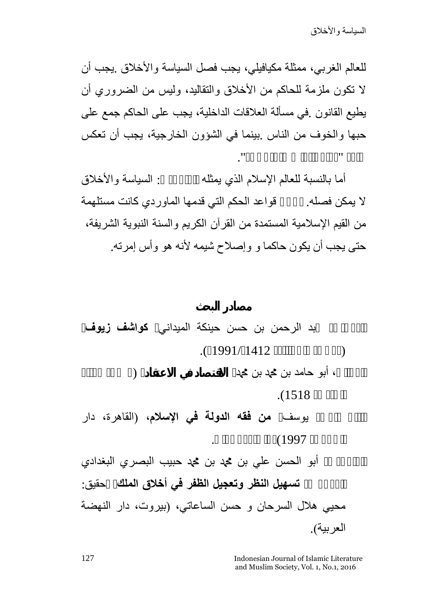للعالم الغربي، ممثلة مكیافیلي، یجب فصل السیاسة والأخلاق .یجب أن لا تكون ملزمة للحاكم من الأخلاق والتقالید، ولیس من الضروري أن یطیع القانون .في مسألة العلاقات الداخلیة، یجب على الحاكم جمع على حبھا والخوف من الناس .بینما في الشؤون الخارجیة، یجب أن تعكس حاكم "ذكاء الثعلب وقوة الأسد".

أما بالنسبة للعالم الإسلام الذي يمثله المسلسة والأخلاق لا یمكن فصلھ. بل أن قواعد الحكم التي قدمھا الماوردي كانت مستلھمة من القیم الإسلامیة المستمدة من القرآن الكریم والسنة النبویة الشریفة، حتى یجب أن یكون حاكما و وإصلاح شیمھ لأنھ ھو وأس إمرتھ.

الدمشقي بد الرحمن بن حسن حینكة المیداني، **كواشف زیوف**، (دمشق، دار القلم، 1412ه1991/م). الغزالي، أبو حامد بن محمد بن محمد، **الاقتصاد في الاعتقاد**، (مصر، مكتبة الجندي، 1518). القارضاوي یوسف، **من فقھ الدولة في الإسلام،** (القاھرة، دار الشروق، 1997)، الطبعة الأولى. ماوردي، أبو الحسن علي بن محمد بن محمد حبیب البصري البغدادي المعروف، **تسھیل النظر وتعجیل الظفر في أخلاق الملك**، تحقیق: محیي ھلال السرحان و حسن الساعاتي، (بیروت، دار النھضة العربیة).